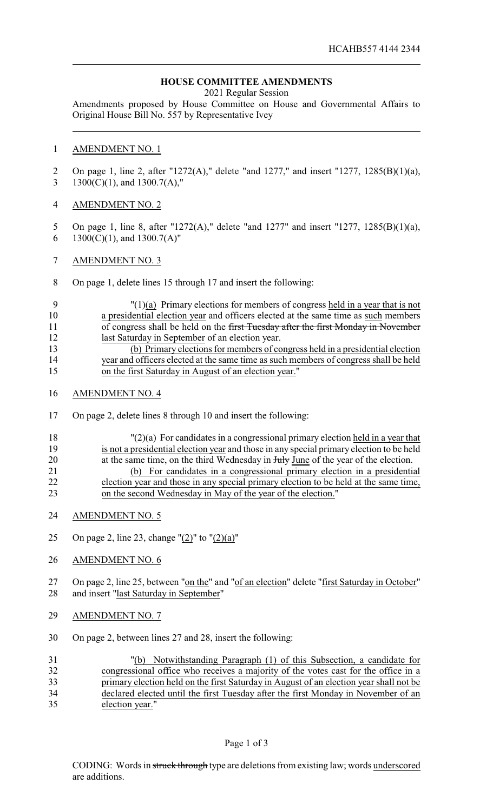## **HOUSE COMMITTEE AMENDMENTS**

2021 Regular Session

Amendments proposed by House Committee on House and Governmental Affairs to Original House Bill No. 557 by Representative Ivey

## AMENDMENT NO. 1

 On page 1, line 2, after "1272(A)," delete "and 1277," and insert "1277, 1285(B)(1)(a), 3 1300(C)(1), and 1300.7(A),"

- AMENDMENT NO. 2
- On page 1, line 8, after "1272(A)," delete "and 1277" and insert "1277, 1285(B)(1)(a), 6 1300(C)(1), and  $1300.7(A)$ "
- AMENDMENT NO. 3
- On page 1, delete lines 15 through 17 and insert the following:

## "(1)(a) Primary elections for members of congress held in a year that is not a presidential election year and officers elected at the same time as such members 11 of congress shall be held on the first Tuesday after the first Monday in November last Saturday in September of an election year. (b) Primary elections for members of congress held in a presidential election year and officers elected at the same time as such members of congress shall be held on the first Saturday in August of an election year."

- AMENDMENT NO. 4
- On page 2, delete lines 8 through 10 and insert the following:
- "(2)(a) For candidates in a congressional primary election held in a year that is not a presidential election year and those in any special primary election to be held 20 at the same time, on the third Wednesday in Huly June of the year of the election. (b) For candidates in a congressional primary election in a presidential election year and those in any special primary election to be held at the same time, on the second Wednesday in May of the year of the election."
- AMENDMENT NO. 5
- 25 On page 2, line 23, change " $(2)$ " to " $(2)(a)$ "
- AMENDMENT NO. 6

27 On page 2, line 25, between "on the" and "of an election" delete "first Saturday in October" and insert "last Saturday in September"

- AMENDMENT NO. 7
- On page 2, between lines 27 and 28, insert the following:

| 31 | "(b) Notwithstanding Paragraph (1) of this Subsection, a candidate for                 |
|----|----------------------------------------------------------------------------------------|
| 32 | congressional office who receives a majority of the votes cast for the office in a     |
| 33 | primary election held on the first Saturday in August of an election year shall not be |
| 34 | declared elected until the first Tuesday after the first Monday in November of an      |
| 35 | election year."                                                                        |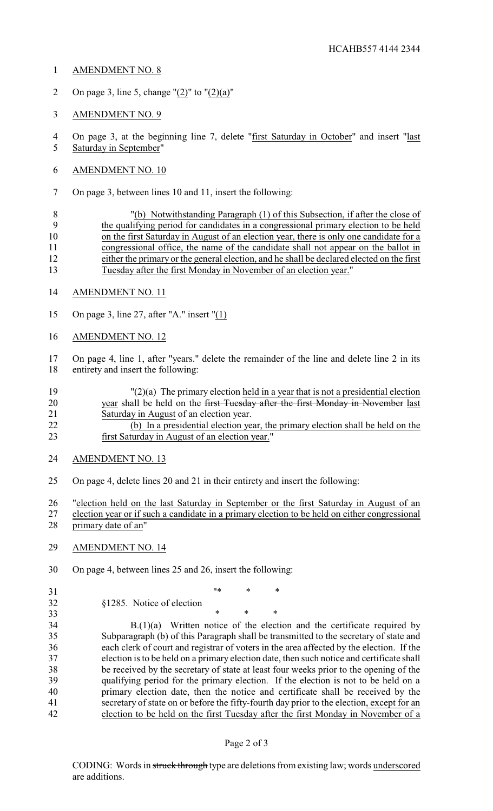- AMENDMENT NO. 8
- 2 On page 3, line 5, change " $(2)$ " to " $(2)(a)$ "
- AMENDMENT NO. 9
- On page 3, at the beginning line 7, delete "first Saturday in October" and insert "last Saturday in September"
- AMENDMENT NO. 10
- On page 3, between lines 10 and 11, insert the following:

 "(b) Notwithstanding Paragraph (1) of this Subsection, if after the close of the qualifying period for candidates in a congressional primary election to be held 10 on the first Saturday in August of an election year, there is only one candidate for a congressional office, the name of the candidate shall not appear on the ballot in either the primary or the general election, and he shall be declared elected on the first Tuesday after the first Monday in November of an election year."

- AMENDMENT NO. 11
- On page 3, line 27, after "A." insert "(1)
- AMENDMENT NO. 12

 On page 4, line 1, after "years." delete the remainder of the line and delete line 2 in its entirety and insert the following:

- "(2)(a) The primary election held in a year that is not a presidential election 20 year shall be held on the first Tuesday after the first Monday in November last Saturday in August of an election year. (b) In a presidential election year, the primary election shall be held on the
- first Saturday in August of an election year."
- AMENDMENT NO. 13
- On page 4, delete lines 20 and 21 in their entirety and insert the following:

 "election held on the last Saturday in September or the first Saturday in August of an election year or if such a candidate in a primary election to be held on either congressional primary date of an"

- AMENDMENT NO. 14
- On page 4, between lines 25 and 26, insert the following:
- 
- §1285. Notice of election

 $**$  \* \*

33 \* \* \* \* B.(1)(a) Written notice of the election and the certificate required by Subparagraph (b) of this Paragraph shall be transmitted to the secretary of state and each clerk of court and registrar of voters in the area affected by the election. If the election is to be held on a primary election date, then such notice and certificate shall be received by the secretary of state at least four weeks prior to the opening of the qualifying period for the primary election. If the election is not to be held on a primary election date, then the notice and certificate shall be received by the secretary of state on or before the fifty-fourth day prior to the election, except for an election to be held on the first Tuesday after the first Monday in November of a